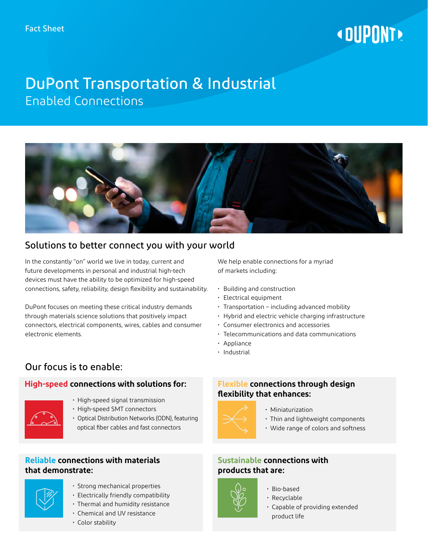# **« DUPONT!**

## DuPont Transportation & Industrial Enabled Connections



## Solutions to better connect you with your world

In the constantly "on" world we live in today, current and future developments in personal and industrial high-tech devices must have the ability to be optimized for high-speed connections, safety, reliability, design flexibility and sustainability.

DuPont focuses on meeting these critical industry demands through materials science solutions that positively impact connectors, electrical components, wires, cables and consumer electronic elements.

## Our focus is to enable:

### **High-speed connections with solutions for:**



- High-speed signal transmission
- High-speed SMT connectors
- Optical Distribution Networks (ODN), featuring optical fiber cables and fast connectors

#### **Reliable connections with materials that demonstrate:**



- Strong mechanical properties
- Electrically friendly compatibility
- Thermal and humidity resistance
- Chemical and UV resistance
- Color stability

We help enable connections for a myriad of markets including:

- Building and construction
- Electrical equipment
- Transportation including advanced mobility
- Hybrid and electric vehicle charging infrastructure
- Consumer electronics and accessories
- Telecommunications and data communications
- Appliance
- Industrial

#### **Flexible connections through design flexibility that enhances:**



- Miniaturization
- Thin and lightweight components
- Wide range of colors and softness

#### **Sustainable connections with products that are:**

- 
- Bio-based
- Recyclable
- Capable of providing extended product life
-